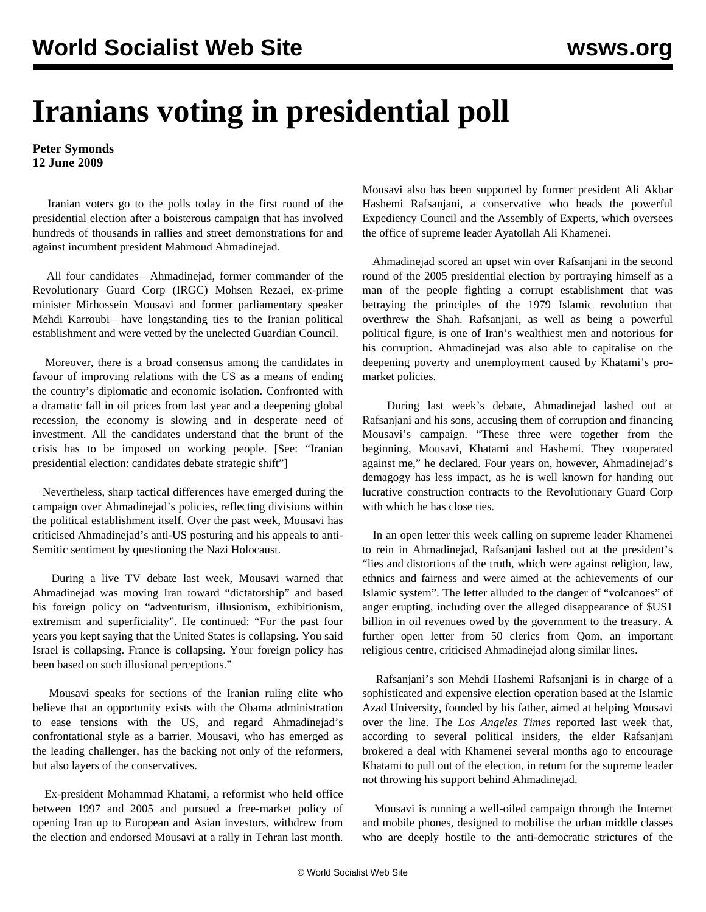## **Iranians voting in presidential poll**

**Peter Symonds 12 June 2009**

 Iranian voters go to the polls today in the first round of the presidential election after a boisterous campaign that has involved hundreds of thousands in rallies and street demonstrations for and against incumbent president Mahmoud Ahmadinejad.

 All four candidates—Ahmadinejad, former commander of the Revolutionary Guard Corp (IRGC) Mohsen Rezaei, ex-prime minister Mirhossein Mousavi and former parliamentary speaker Mehdi Karroubi—have longstanding ties to the Iranian political establishment and were vetted by the unelected Guardian Council.

 Moreover, there is a broad consensus among the candidates in favour of improving relations with the US as a means of ending the country's diplomatic and economic isolation. Confronted with a dramatic fall in oil prices from last year and a deepening global recession, the economy is slowing and in desperate need of investment. All the candidates understand that the brunt of the crisis has to be imposed on working people. [See: ["Iranian](/en/articles/2009/jun2009/iran-j04.shtml) [presidential election: candidates debate strategic shift"](/en/articles/2009/jun2009/iran-j04.shtml)]

 Nevertheless, sharp tactical differences have emerged during the campaign over Ahmadinejad's policies, reflecting divisions within the political establishment itself. Over the past week, Mousavi has criticised Ahmadinejad's anti-US posturing and his appeals to anti-Semitic sentiment by questioning the Nazi Holocaust.

 During a live TV debate last week, Mousavi warned that Ahmadinejad was moving Iran toward "dictatorship" and based his foreign policy on "adventurism, illusionism, exhibitionism, extremism and superficiality". He continued: "For the past four years you kept saying that the United States is collapsing. You said Israel is collapsing. France is collapsing. Your foreign policy has been based on such illusional perceptions."

 Mousavi speaks for sections of the Iranian ruling elite who believe that an opportunity exists with the Obama administration to ease tensions with the US, and regard Ahmadinejad's confrontational style as a barrier. Mousavi, who has emerged as the leading challenger, has the backing not only of the reformers, but also layers of the conservatives.

 Ex-president Mohammad Khatami, a reformist who held office between 1997 and 2005 and pursued a free-market policy of opening Iran up to European and Asian investors, withdrew from the election and endorsed Mousavi at a rally in Tehran last month.

Mousavi also has been supported by former president Ali Akbar Hashemi Rafsanjani, a conservative who heads the powerful Expediency Council and the Assembly of Experts, which oversees the office of supreme leader Ayatollah Ali Khamenei.

 Ahmadinejad scored an upset win over Rafsanjani in the second round of the 2005 presidential election by portraying himself as a man of the people fighting a corrupt establishment that was betraying the principles of the 1979 Islamic revolution that overthrew the Shah. Rafsanjani, as well as being a powerful political figure, is one of Iran's wealthiest men and notorious for his corruption. Ahmadinejad was also able to capitalise on the deepening poverty and unemployment caused by Khatami's promarket policies.

 During last week's debate, Ahmadinejad lashed out at Rafsanjani and his sons, accusing them of corruption and financing Mousavi's campaign. "These three were together from the beginning, Mousavi, Khatami and Hashemi. They cooperated against me," he declared. Four years on, however, Ahmadinejad's demagogy has less impact, as he is well known for handing out lucrative construction contracts to the Revolutionary Guard Corp with which he has close ties.

 In an open letter this week calling on supreme leader Khamenei to rein in Ahmadinejad, Rafsanjani lashed out at the president's "lies and distortions of the truth, which were against religion, law, ethnics and fairness and were aimed at the achievements of our Islamic system". The letter alluded to the danger of "volcanoes" of anger erupting, including over the alleged disappearance of \$US1 billion in oil revenues owed by the government to the treasury. A further open letter from 50 clerics from Qom, an important religious centre, criticised Ahmadinejad along similar lines.

 Rafsanjani's son Mehdi Hashemi Rafsanjani is in charge of a sophisticated and expensive election operation based at the Islamic Azad University, founded by his father, aimed at helping Mousavi over the line. The *Los Angeles Times* reported last week that, according to several political insiders, the elder Rafsanjani brokered a deal with Khamenei several months ago to encourage Khatami to pull out of the election, in return for the supreme leader not throwing his support behind Ahmadinejad.

 Mousavi is running a well-oiled campaign through the Internet and mobile phones, designed to mobilise the urban middle classes who are deeply hostile to the anti-democratic strictures of the